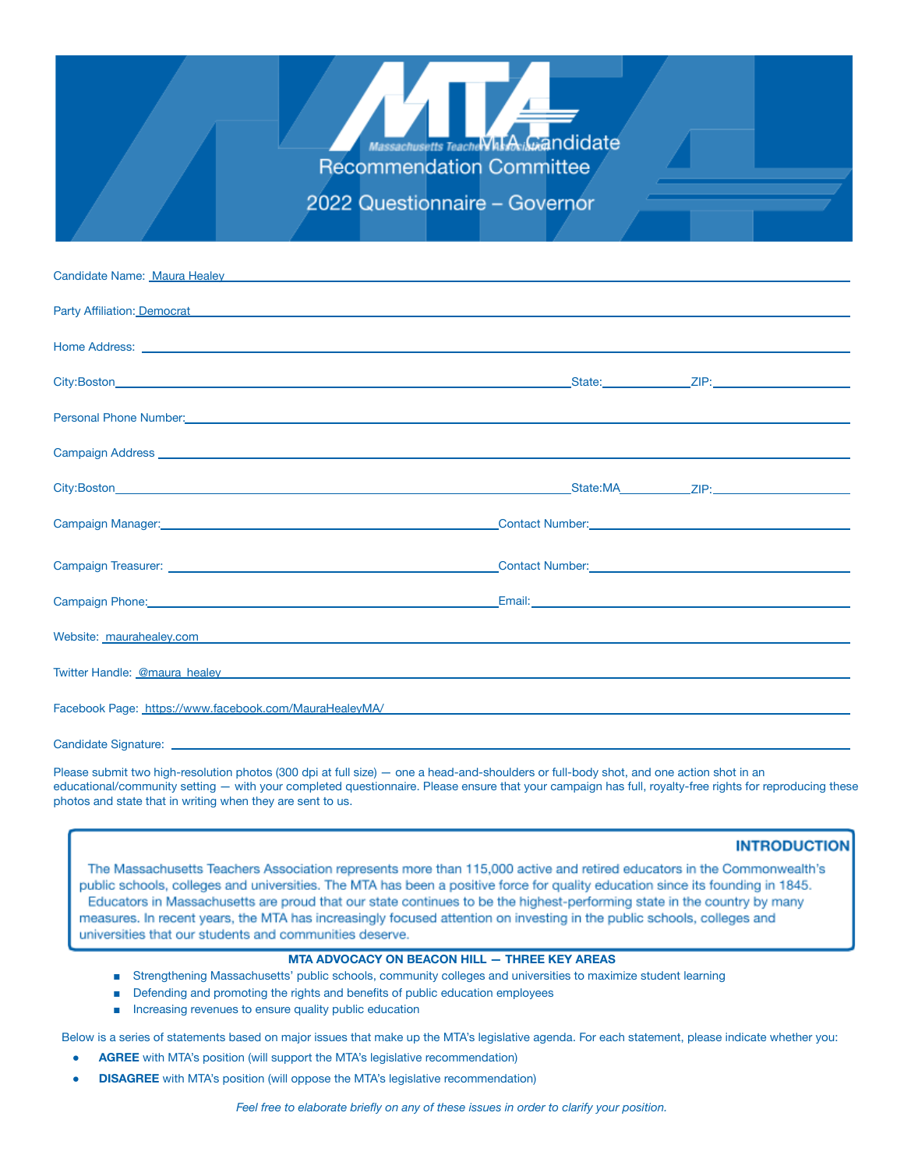

2022 Questionnaire - Governor

| Candidate Name: Maura Healey <b>Candidate Name: Maura Healey</b> Annual Annual Annual Annual Annual Annual Annual Annu                                                                                                               |  |
|--------------------------------------------------------------------------------------------------------------------------------------------------------------------------------------------------------------------------------------|--|
| Party Affiliation: Democrat <b>Exercise Act and Act and Act and Act and Act and Act and Act and Act and Act and Act and Act and Act and Act and Act and Act and Act and Act and Act and Act and Act and Act and Act and Act and </b> |  |
| Home Address: <u>experimental contract and contract and contract and contract and contract and contract and contract of the second contract of the second contract of the second contract of the second contract of the second c</u> |  |
|                                                                                                                                                                                                                                      |  |
| Personal Phone Number: <u>Contractor Communication</u> Contractor Communication Contractor Communication Communication                                                                                                               |  |
| Campaign Address New York Contract to the Contract of the Contract of the Contract of the Contract of the Contract of the Contract of the Contract of the Contract of the Contract of the Contract of the Contract of the Cont       |  |
| City:Boston ZIP: New York 2019 19:00 19:00 19:00 19:00 19:00 19:00 19:00 19:00 19:00 19:00 19:00 19:00 19:00 1                                                                                                                       |  |
| Compaign Manager: Campaign Manager: Communication of the Communication of the Communication of the Communication of the Communication of the Communication of the Communication of the Communication of the Communication of t       |  |
| Contact Number: Campaign Treasurer: Contact Number: Contact Number: Contact Number: Contact Number: Contact Number: Contact Number: Contact Number: Contact Number: Contact Number: Contact Number: Contact Number: Contact Nu       |  |
|                                                                                                                                                                                                                                      |  |
| Website: maurahealey.com entrepreneur and contract the contract of the contract of the contract of the contract of the contract of the contract of the contract of the contract of the contract of the contract of the contrac       |  |
| Twitter Handle: @maura_healey experience and a series of the contract of the contract of the contract of the contract of the contract of the contract of the contract of the contract of the contract of the contract of the c       |  |
| Facebook Page: https://www.facebook.com/MauraHealeyMA/ National Communications of the communication of the communication of the communication of the communication of the communication of the communication of the communicat       |  |
|                                                                                                                                                                                                                                      |  |

Candidate Signature:

Please submit two high-resolution photos (300 dpi at full size) — one a head-and-shoulders or full-body shot, and one action shot in an educational/community setting — with your completed questionnaire. Please ensure that your campaign has full, royalty-free rights for reproducing these photos and state that in writing when they are sent to us.

#### **INTRODUCTION**

The Massachusetts Teachers Association represents more than 115,000 active and retired educators in the Commonwealth's public schools, colleges and universities. The MTA has been a positive force for quality education since its founding in 1845. Educators in Massachusetts are proud that our state continues to be the highest-performing state in the country by many measures. In recent years, the MTA has increasingly focused attention on investing in the public schools, colleges and universities that our students and communities deserve.

### **MTA ADVOCACY ON BEACON HILL — THREE KEY AREAS**

- Strengthening Massachusetts' public schools, community colleges and universities to maximize student learning
- Defending and promoting the rights and benefits of public education employees
- Increasing revenues to ensure quality public education

Below is a series of statements based on major issues that make up the MTA's legislative agenda. For each statement, please indicate whether you:

- **AGREE** with MTA's position (will support the MTA's legislative recommendation)
- **DISAGREE** with MTA's position (will oppose the MTA's legislative recommendation)

*Feel free to elaborate briefly on any of these issues in order to clarify your position.*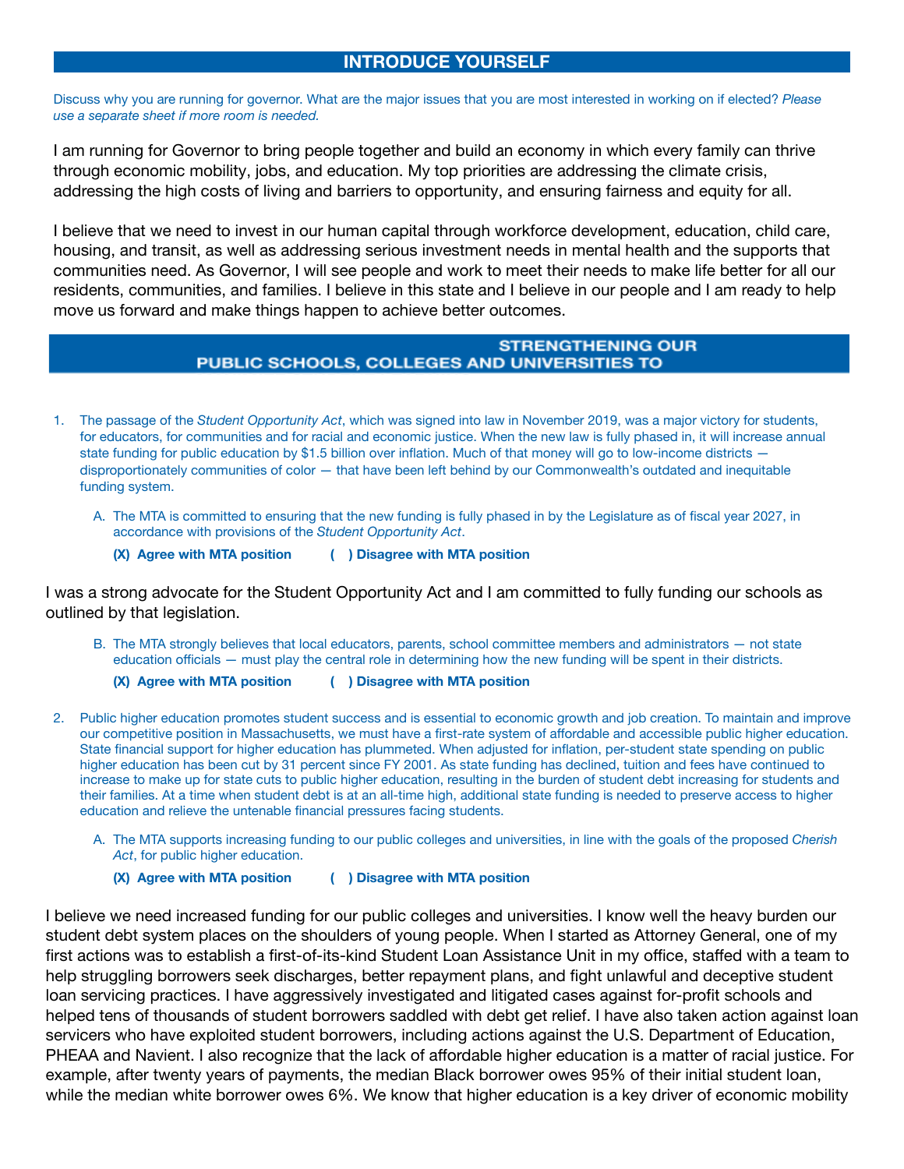# **INTRODUCE YOURSELF**

Discuss why you are running for governor. What are the major issues that you are most interested in working on if elected? *Please use a separate sheet if more room is needed.*

I am running for Governor to bring people together and build an economy in which every family can thrive through economic mobility, jobs, and education. My top priorities are addressing the climate crisis, addressing the high costs of living and barriers to opportunity, and ensuring fairness and equity for all.

I believe that we need to invest in our human capital through workforce development, education, child care, housing, and transit, as well as addressing serious investment needs in mental health and the supports that communities need. As Governor, I will see people and work to meet their needs to make life better for all our residents, communities, and families. I believe in this state and I believe in our people and I am ready to help move us forward and make things happen to achieve better outcomes.

### **STRENGTHENING OUR** PUBLIC SCHOOLS, COLLEGES AND UNIVERSITIES TO

- 1. The passage of the *Student Opportunity Act*, which was signed into law in November 2019, was a major victory for students, for educators, for communities and for racial and economic justice. When the new law is fully phased in, it will increase annual state funding for public education by \$1.5 billion over inflation. Much of that money will go to low-income districts disproportionately communities of color — that have been left behind by our Commonwealth's outdated and inequitable funding system.
	- A. The MTA is committed to ensuring that the new funding is fully phased in by the Legislature as of fiscal year 2027, in accordance with provisions of the *Student Opportunity Act*.
		- **(X) Agree with MTA position ( ) Disagree with MTA position**

I was a strong advocate for the Student Opportunity Act and I am committed to fully funding our schools as outlined by that legislation.

B. The MTA strongly believes that local educators, parents, school committee members and administrators — not state education officials — must play the central role in determining how the new funding will be spent in their districts.

**(X) Agree with MTA position ( ) Disagree with MTA position**

- 2. Public higher education promotes student success and is essential to economic growth and job creation. To maintain and improve our competitive position in Massachusetts, we must have a first-rate system of affordable and accessible public higher education. State financial support for higher education has plummeted. When adjusted for inflation, per-student state spending on public higher education has been cut by 31 percent since FY 2001. As state funding has declined, tuition and fees have continued to increase to make up for state cuts to public higher education, resulting in the burden of student debt increasing for students and their families. At a time when student debt is at an all-time high, additional state funding is needed to preserve access to higher education and relieve the untenable financial pressures facing students.
	- A. The MTA supports increasing funding to our public colleges and universities, in line with the goals of the proposed *Cherish Act*, for public higher education.
		- **(X) Agree with MTA position ( ) Disagree with MTA position**

I believe we need increased funding for our public colleges and universities. I know well the heavy burden our student debt system places on the shoulders of young people. When I started as Attorney General, one of my first actions was to establish a first-of-its-kind Student Loan Assistance Unit in my office, staffed with a team to help struggling borrowers seek discharges, better repayment plans, and fight unlawful and deceptive student loan servicing practices. I have aggressively investigated and litigated cases against for-profit schools and helped tens of thousands of student borrowers saddled with debt get relief. I have also taken action against loan servicers who have exploited student borrowers, including actions against the U.S. Department of Education, PHEAA and Navient. I also recognize that the lack of affordable higher education is a matter of racial justice. For example, after twenty years of payments, the median Black borrower owes 95% of their initial student loan, while the median white borrower owes 6%. We know that higher education is a key driver of economic mobility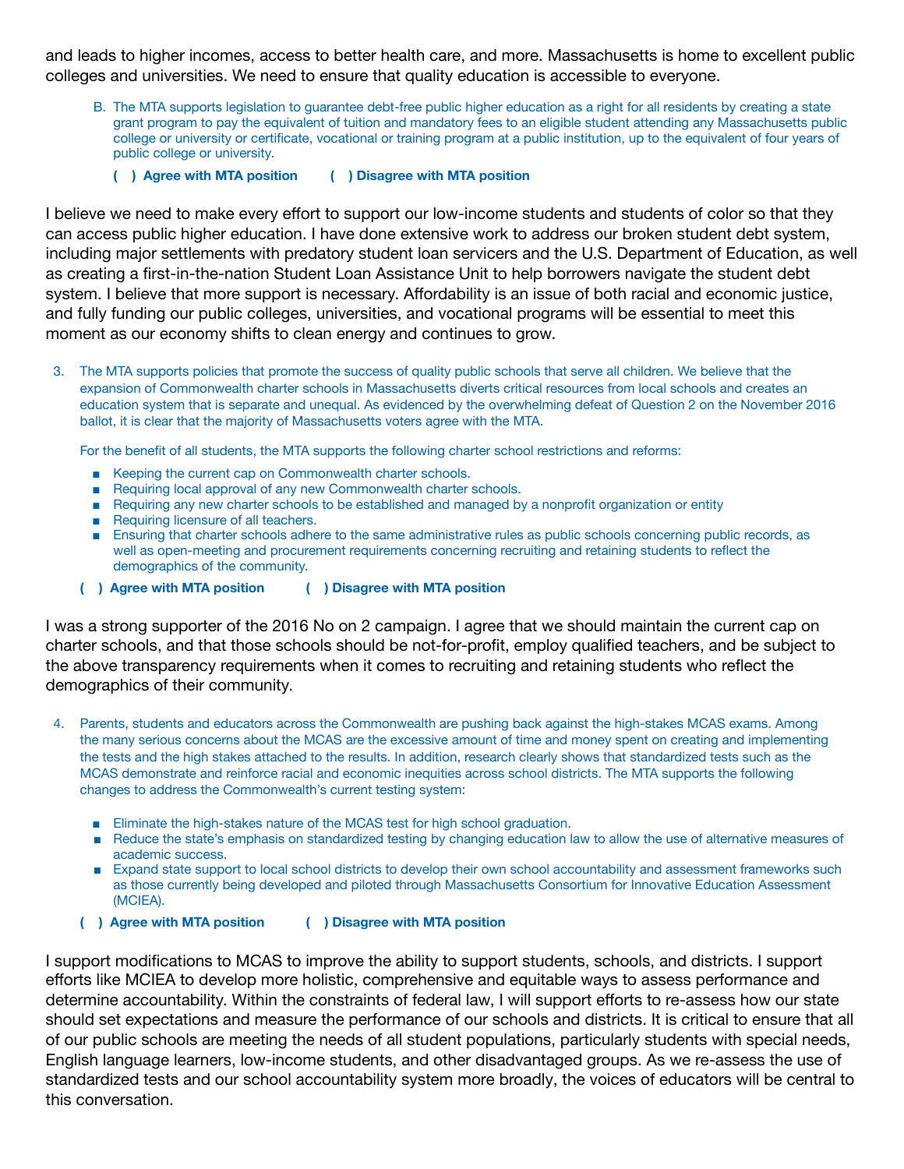and leads to higher incomes, access to better health care, and more. Massachusetts is home to excellent public colleges and universities. We need to ensure that quality education is accessible to everyone.

- B. The MTA supports legislation to guarantee debt-free public higher education as a right for all residents by creating a state grant program to pay the equivalent of tuition and mandatory fees to an eligible student attending any Massachusetts public college or university or certificate, vocational or training program at a public institution, up to the equivalent of four years of public college or university.
	- **( ) Agree with MTA position ( ) Disagree with MTA position**

I believe we need to make every effort to support our low-income students and students of color so that they can access public higher education. I have done extensive work to address our broken student debt system, including major settlements with predatory student loan servicers and the U.S. Department of Education, as well as creating a first-in-the-nation Student Loan Assistance Unit to help borrowers navigate the student debt system. I believe that more support is necessary. Affordability is an issue of both racial and economic justice, and fully funding our public colleges, universities, and vocational programs will be essential to meet this moment as our economy shifts to clean energy and continues to grow.

3. The MTA supports policies that promote the success of quality public schools that serve all children. We believe that the expansion of Commonwealth charter schools in Massachusetts diverts critical resources from local schools and creates an education system that is separate and unequal. As evidenced by the overwhelming defeat of Question 2 on the November 2016 ballot, it is clear that the majority of Massachusetts voters agree with the MTA.

For the benefit of all students, the MTA supports the following charter school restrictions and reforms:

- Keeping the current cap on Commonwealth charter schools.
- Requiring local approval of any new Commonwealth charter schools.
- Requiring any new charter schools to be established and managed by a nonprofit organization or entity
- Requiring licensure of all teachers.
- Ensuring that charter schools adhere to the same administrative rules as public schools concerning public records, as well as open-meeting and procurement requirements concerning recruiting and retaining students to reflect the demographics of the community.
- **( ) Agree with MTA position ( ) Disagree with MTA position**

I was a strong supporter of the 2016 No on 2 campaign. I agree that we should maintain the current cap on charter schools, and that those schools should be not-for-profit, employ qualified teachers, and be subject to the above transparency requirements when it comes to recruiting and retaining students who reflect the demographics of their community.

- 4. Parents, students and educators across the Commonwealth are pushing back against the high-stakes MCAS exams. Among the many serious concerns about the MCAS are the excessive amount of time and money spent on creating and implementing the tests and the high stakes attached to the results. In addition, research clearly shows that standardized tests such as the MCAS demonstrate and reinforce racial and economic inequities across school districts. The MTA supports the following changes to address the Commonwealth's current testing system:
	- Eliminate the high-stakes nature of the MCAS test for high school graduation.
	- Reduce the state's emphasis on standardized testing by changing education law to allow the use of alternative measures of academic success.
	- Expand state support to local school districts to develop their own school accountability and assessment frameworks such as those currently being developed and piloted through Massachusetts Consortium for Innovative Education Assessment (MCIEA).
	- **( ) Agree with MTA position ( ) Disagree with MTA position**

I support modifications to MCAS to improve the ability to support students, schools, and districts. I support efforts like MCIEA to develop more holistic, comprehensive and equitable ways to assess performance and determine accountability. Within the constraints of federal law, I will support efforts to re-assess how our state should set expectations and measure the performance of our schools and districts. It is critical to ensure that all of our public schools are meeting the needs of all student populations, particularly students with special needs, English language learners, low-income students, and other disadvantaged groups. As we re-assess the use of standardized tests and our school accountability system more broadly, the voices of educators will be central to this conversation.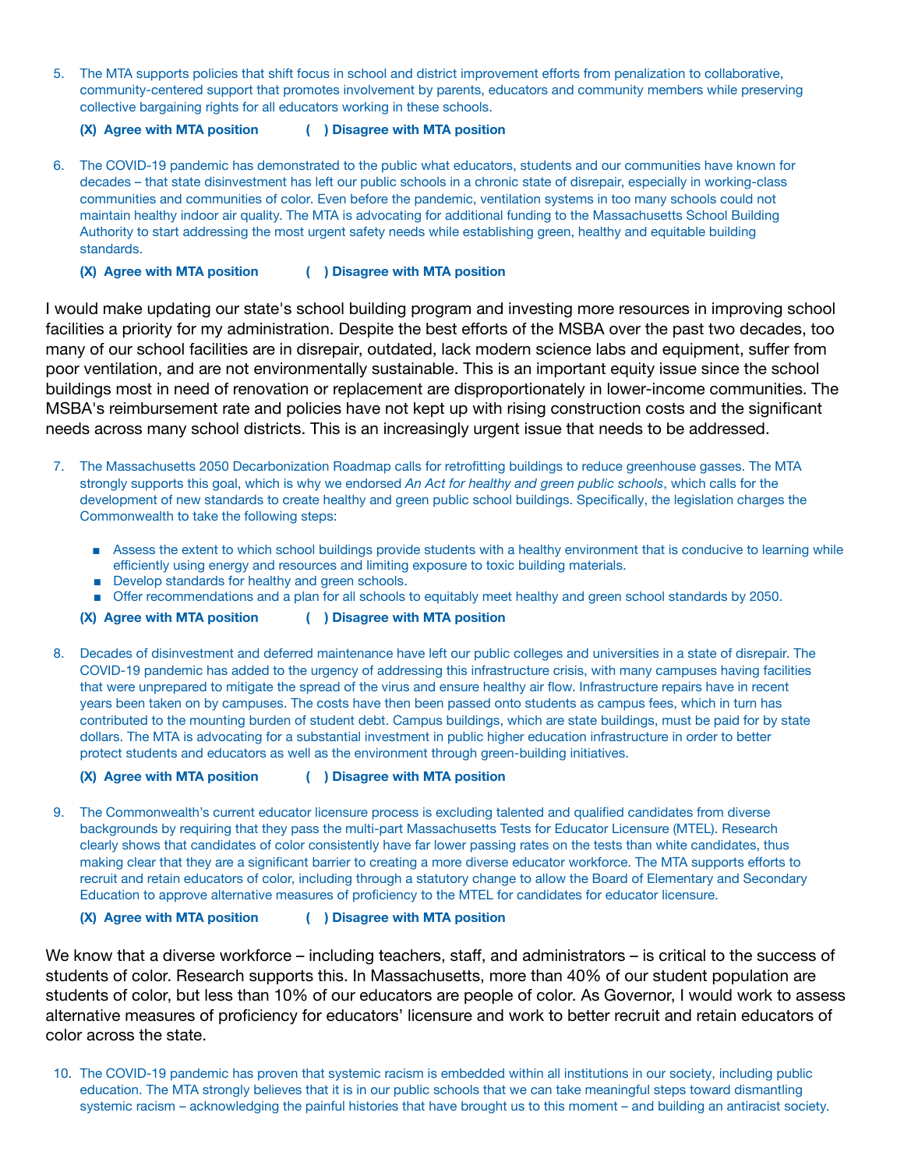5. The MTA supports policies that shift focus in school and district improvement efforts from penalization to collaborative, community-centered support that promotes involvement by parents, educators and community members while preserving collective bargaining rights for all educators working in these schools.

**(X) Agree with MTA position ( ) Disagree with MTA position**

- 6. The COVID-19 pandemic has demonstrated to the public what educators, students and our communities have known for decades – that state disinvestment has left our public schools in a chronic state of disrepair, especially in working-class communities and communities of color. Even before the pandemic, ventilation systems in too many schools could not maintain healthy indoor air quality. The MTA is advocating for additional funding to the Massachusetts School Building Authority to start addressing the most urgent safety needs while establishing green, healthy and equitable building standards.
	- **(X) Agree with MTA position ( ) Disagree with MTA position**

I would make updating our state's school building program and investing more resources in improving school facilities a priority for my administration. Despite the best efforts of the MSBA over the past two decades, too many of our school facilities are in disrepair, outdated, lack modern science labs and equipment, suffer from poor ventilation, and are not environmentally sustainable. This is an important equity issue since the school buildings most in need of renovation or replacement are disproportionately in lower-income communities. The MSBA's reimbursement rate and policies have not kept up with rising construction costs and the significant needs across many school districts. This is an increasingly urgent issue that needs to be addressed.

- 7. The Massachusetts 2050 Decarbonization Roadmap calls for retrofitting buildings to reduce greenhouse gasses. The MTA strongly supports this goal, which is why we endorsed *An Act for healthy and green public schools*, which calls for the development of new standards to create healthy and green public school buildings. Specifically, the legislation charges the Commonwealth to take the following steps:
	- Assess the extent to which school buildings provide students with a healthy environment that is conducive to learning while efficiently using energy and resources and limiting exposure to toxic building materials.
	- Develop standards for healthy and green schools.
	- Offer recommendations and a plan for all schools to equitably meet healthy and green school standards by 2050.

**(X) Agree with MTA position ( ) Disagree with MTA position**

8. Decades of disinvestment and deferred maintenance have left our public colleges and universities in a state of disrepair. The COVID-19 pandemic has added to the urgency of addressing this infrastructure crisis, with many campuses having facilities that were unprepared to mitigate the spread of the virus and ensure healthy air flow. Infrastructure repairs have in recent years been taken on by campuses. The costs have then been passed onto students as campus fees, which in turn has contributed to the mounting burden of student debt. Campus buildings, which are state buildings, must be paid for by state dollars. The MTA is advocating for a substantial investment in public higher education infrastructure in order to better protect students and educators as well as the environment through green-building initiatives.

**(X) Agree with MTA position ( ) Disagree with MTA position**

9. The Commonwealth's current educator licensure process is excluding talented and qualified candidates from diverse backgrounds by requiring that they pass the multi-part Massachusetts Tests for Educator Licensure (MTEL). Research clearly shows that candidates of color consistently have far lower passing rates on the tests than white candidates, thus making clear that they are a significant barrier to creating a more diverse educator workforce. The MTA supports efforts to recruit and retain educators of color, including through a statutory change to allow the Board of Elementary and Secondary Education to approve alternative measures of proficiency to the MTEL for candidates for educator licensure.

**(X) Agree with MTA position ( ) Disagree with MTA position**

We know that a diverse workforce – including teachers, staff, and administrators – is critical to the success of students of color. Research supports this. In Massachusetts, more than 40% of our student population are students of color, but less than 10% of our educators are people of color. As Governor, I would work to assess alternative measures of proficiency for educators' licensure and work to better recruit and retain educators of color across the state.

10. The COVID-19 pandemic has proven that systemic racism is embedded within all institutions in our society, including public education. The MTA strongly believes that it is in our public schools that we can take meaningful steps toward dismantling systemic racism – acknowledging the painful histories that have brought us to this moment – and building an antiracist society.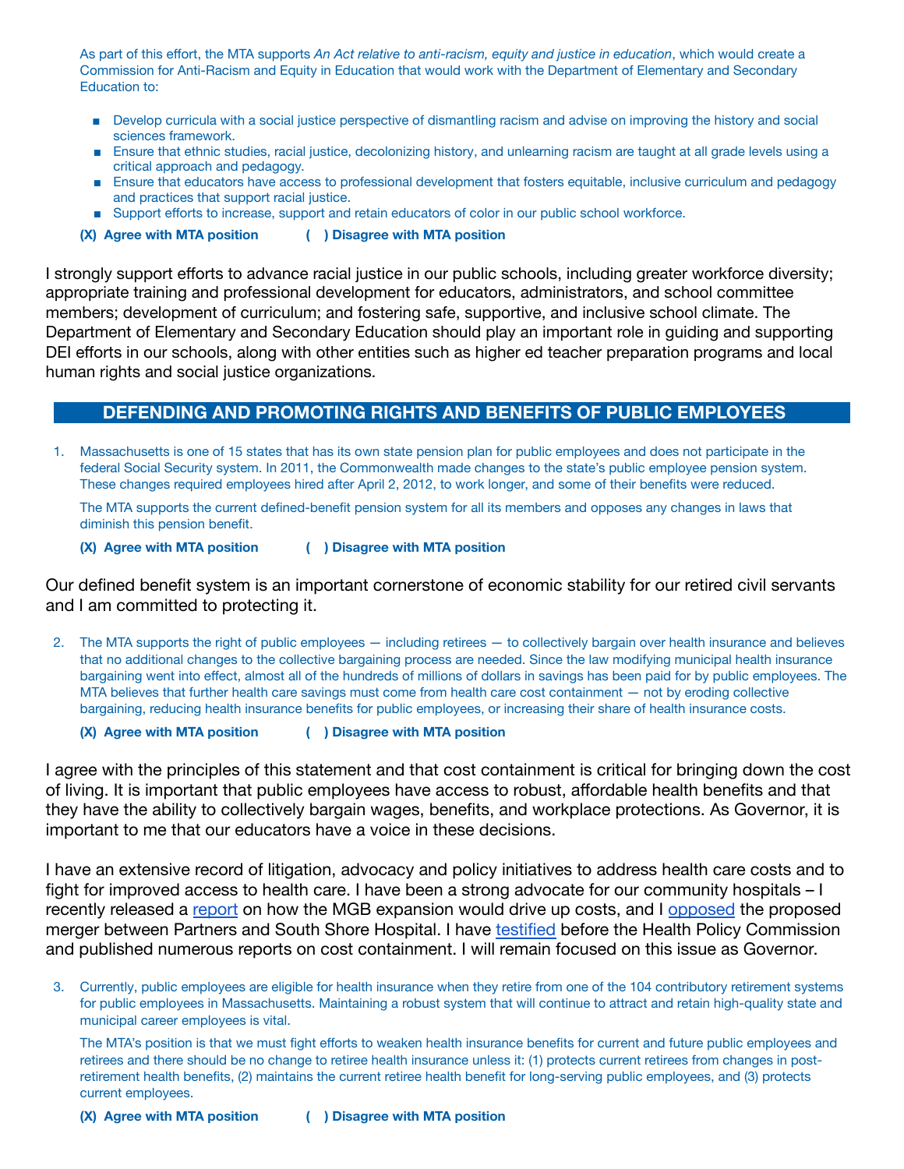As part of this effort, the MTA supports *An Act relative to anti-racism, equity and justice in education*, which would create a Commission for Anti-Racism and Equity in Education that would work with the Department of Elementary and Secondary Education to:

- Develop curricula with a social justice perspective of dismantling racism and advise on improving the history and social sciences framework.
- Ensure that ethnic studies, racial justice, decolonizing history, and unlearning racism are taught at all grade levels using a critical approach and pedagogy.
- Ensure that educators have access to professional development that fosters equitable, inclusive curriculum and pedagogy and practices that support racial justice.
- Support efforts to increase, support and retain educators of color in our public school workforce.
- **(X) Agree with MTA position ( ) Disagree with MTA position**

I strongly support efforts to advance racial justice in our public schools, including greater workforce diversity; appropriate training and professional development for educators, administrators, and school committee members; development of curriculum; and fostering safe, supportive, and inclusive school climate. The Department of Elementary and Secondary Education should play an important role in guiding and supporting DEI efforts in our schools, along with other entities such as higher ed teacher preparation programs and local human rights and social justice organizations.

## **DEFENDING AND PROMOTING RIGHTS AND BENEFITS OF PUBLIC EMPLOYEES**

1. Massachusetts is one of 15 states that has its own state pension plan for public employees and does not participate in the federal Social Security system. In 2011, the Commonwealth made changes to the state's public employee pension system. These changes required employees hired after April 2, 2012, to work longer, and some of their benefits were reduced.

The MTA supports the current defined-benefit pension system for all its members and opposes any changes in laws that diminish this pension benefit.

**(X) Agree with MTA position ( ) Disagree with MTA position**

Our defined benefit system is an important cornerstone of economic stability for our retired civil servants and I am committed to protecting it.

2. The MTA supports the right of public employees — including retirees — to collectively bargain over health insurance and believes that no additional changes to the collective bargaining process are needed. Since the law modifying municipal health insurance bargaining went into effect, almost all of the hundreds of millions of dollars in savings has been paid for by public employees. The MTA believes that further health care savings must come from health care cost containment — not by eroding collective bargaining, reducing health insurance benefits for public employees, or increasing their share of health insurance costs.

**(X) Agree with MTA position ( ) Disagree with MTA position**

I agree with the principles of this statement and that cost containment is critical for bringing down the cost of living. It is important that public employees have access to robust, affordable health benefits and that they have the ability to collectively bargain wages, benefits, and workplace protections. As Governor, it is important to me that our educators have a voice in these decisions.

I have an extensive record of litigation, advocacy and policy initiatives to address health care costs and to fight for improved access to health care. I have been a strong advocate for our community hospitals – I recently released a [report](https://commonwealthmagazine.org/health-care/healey-says-mass-general-brigham-expansion-will-net-385m-annual-profit/) on how the MGB expansion would drive up costs, and I [opposed](https://www.wbur.org/news/2015/02/17/partners-south-shore-bid) the proposed merger between Partners and South Shore Hospital. I have [testified](https://www.masslive.com/news/2019/10/ag-maura-healey-common-ways-of-controlling-health-care-costs-are-ineffective.html) before the Health Policy Commission and published numerous reports on cost containment. I will remain focused on this issue as Governor.

3. Currently, public employees are eligible for health insurance when they retire from one of the 104 contributory retirement systems for public employees in Massachusetts. Maintaining a robust system that will continue to attract and retain high-quality state and municipal career employees is vital.

The MTA's position is that we must fight efforts to weaken health insurance benefits for current and future public employees and retirees and there should be no change to retiree health insurance unless it: (1) protects current retirees from changes in postretirement health benefits, (2) maintains the current retiree health benefit for long-serving public employees, and (3) protects current employees.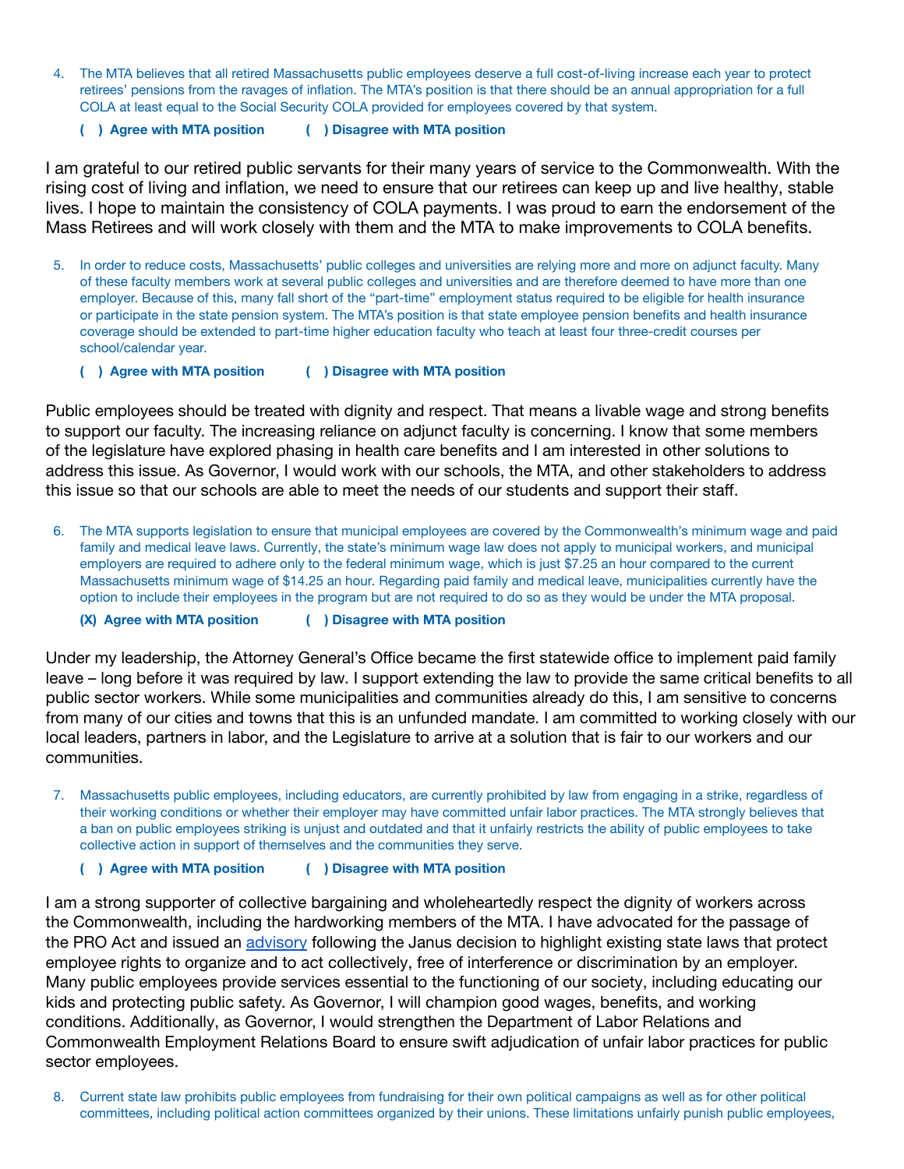- 4. The MTA believes that all retired Massachusetts public employees deserve a full cost-of-living increase each year to protect retirees' pensions from the ravages of inflation. The MTA's position is that there should be an annual appropriation for a full COLA at least equal to the Social Security COLA provided for employees covered by that system.
	- **( ) Agree with MTA position ( ) Disagree with MTA position**

I am grateful to our retired public servants for their many years of service to the Commonwealth. With the rising cost of living and inflation, we need to ensure that our retirees can keep up and live healthy, stable lives. I hope to maintain the consistency of COLA payments. I was proud to earn the endorsement of the Mass Retirees and will work closely with them and the MTA to make improvements to COLA benefits.

- 5. In order to reduce costs, Massachusetts' public colleges and universities are relying more and more on adjunct faculty. Many of these faculty members work at several public colleges and universities and are therefore deemed to have more than one employer. Because of this, many fall short of the "part-time" employment status required to be eligible for health insurance or participate in the state pension system. The MTA's position is that state employee pension benefits and health insurance coverage should be extended to part-time higher education faculty who teach at least four three-credit courses per school/calendar year.
	- **( ) Agree with MTA position ( ) Disagree with MTA position**

Public employees should be treated with dignity and respect. That means a livable wage and strong benefits to support our faculty. The increasing reliance on adjunct faculty is concerning. I know that some members of the legislature have explored phasing in health care benefits and I am interested in other solutions to address this issue. As Governor, I would work with our schools, the MTA, and other stakeholders to address this issue so that our schools are able to meet the needs of our students and support their staff.

6. The MTA supports legislation to ensure that municipal employees are covered by the Commonwealth's minimum wage and paid family and medical leave laws. Currently, the state's minimum wage law does not apply to municipal workers, and municipal employers are required to adhere only to the federal minimum wage, which is just \$7.25 an hour compared to the current Massachusetts minimum wage of \$14.25 an hour. Regarding paid family and medical leave, municipalities currently have the option to include their employees in the program but are not required to do so as they would be under the MTA proposal.

**(X) Agree with MTA position ( ) Disagree with MTA position**

Under my leadership, the Attorney General's Office became the first statewide office to implement paid family leave – long before it was required by law. I support extending the law to provide the same critical benefits to all public sector workers. While some municipalities and communities already do this, I am sensitive to concerns from many of our cities and towns that this is an unfunded mandate. I am committed to working closely with our local leaders, partners in labor, and the Legislature to arrive at a solution that is fair to our workers and our communities.

- 7. Massachusetts public employees, including educators, are currently prohibited by law from engaging in a strike, regardless of their working conditions or whether their employer may have committed unfair labor practices. The MTA strongly believes that a ban on public employees striking is unjust and outdated and that it unfairly restricts the ability of public employees to take collective action in support of themselves and the communities they serve.
	- **( ) Agree with MTA position ( ) Disagree with MTA position**

I am a strong supporter of collective bargaining and wholeheartedly respect the dignity of workers across the Commonwealth, including the hardworking members of the MTA. I have advocated for the passage of the PRO Act and issued an [advisory](https://www.mass.gov/news/ag-healey-issues-advisory-on-public-sector-workers-rights-and-employer-obligations-in-the-wake-of-janus-ruling-by-us-supreme-court) following the Janus decision to highlight existing state laws that protect employee rights to organize and to act collectively, free of interference or discrimination by an employer. Many public employees provide services essential to the functioning of our society, including educating our kids and protecting public safety. As Governor, I will champion good wages, benefits, and working conditions. Additionally, as Governor, I would strengthen the Department of Labor Relations and Commonwealth Employment Relations Board to ensure swift adjudication of unfair labor practices for public sector employees.

8. Current state law prohibits public employees from fundraising for their own political campaigns as well as for other political committees, including political action committees organized by their unions. These limitations unfairly punish public employees,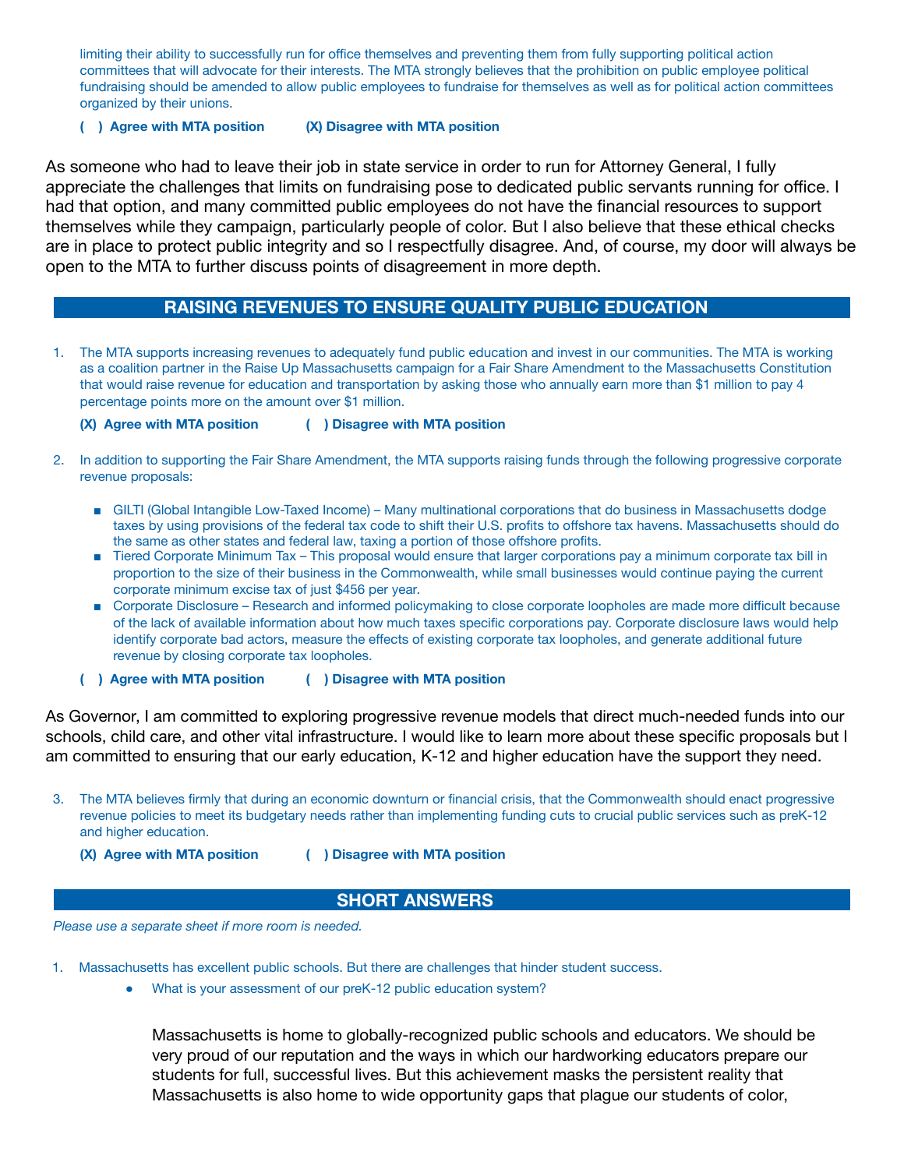limiting their ability to successfully run for office themselves and preventing them from fully supporting political action committees that will advocate for their interests. The MTA strongly believes that the prohibition on public employee political fundraising should be amended to allow public employees to fundraise for themselves as well as for political action committees organized by their unions.

### **( ) Agree with MTA position (X) Disagree with MTA position**

As someone who had to leave their job in state service in order to run for Attorney General, I fully appreciate the challenges that limits on fundraising pose to dedicated public servants running for office. I had that option, and many committed public employees do not have the financial resources to support themselves while they campaign, particularly people of color. But I also believe that these ethical checks are in place to protect public integrity and so I respectfully disagree. And, of course, my door will always be open to the MTA to further discuss points of disagreement in more depth.

## **RAISING REVENUES TO ENSURE QUALITY PUBLIC EDUCATION**

1. The MTA supports increasing revenues to adequately fund public education and invest in our communities. The MTA is working as a coalition partner in the Raise Up Massachusetts campaign for a Fair Share Amendment to the Massachusetts Constitution that would raise revenue for education and transportation by asking those who annually earn more than \$1 million to pay 4 percentage points more on the amount over \$1 million.

### **(X) Agree with MTA position ( ) Disagree with MTA position**

- 2. In addition to supporting the Fair Share Amendment, the MTA supports raising funds through the following progressive corporate revenue proposals:
	- GILTI (Global Intangible Low-Taxed Income) Many multinational corporations that do business in Massachusetts dodge taxes by using provisions of the federal tax code to shift their U.S. profits to offshore tax havens. Massachusetts should do the same as other states and federal law, taxing a portion of those offshore profits.
	- Tiered Corporate Minimum Tax This proposal would ensure that larger corporations pay a minimum corporate tax bill in proportion to the size of their business in the Commonwealth, while small businesses would continue paying the current corporate minimum excise tax of just \$456 per year.
	- Corporate Disclosure Research and informed policymaking to close corporate loopholes are made more difficult because of the lack of available information about how much taxes specific corporations pay. Corporate disclosure laws would help identify corporate bad actors, measure the effects of existing corporate tax loopholes, and generate additional future revenue by closing corporate tax loopholes.
	- **( ) Agree with MTA position ( ) Disagree with MTA position**

As Governor, I am committed to exploring progressive revenue models that direct much-needed funds into our schools, child care, and other vital infrastructure. I would like to learn more about these specific proposals but I am committed to ensuring that our early education, K-12 and higher education have the support they need.

- 3. The MTA believes firmly that during an economic downturn or financial crisis, that the Commonwealth should enact progressive revenue policies to meet its budgetary needs rather than implementing funding cuts to crucial public services such as preK-12 and higher education.
	-
	- **(X) Agree with MTA position ( ) Disagree with MTA position**

### **SHORT ANSWERS**

*Please use a separate sheet if more room is needed.*

- 1. Massachusetts has excellent public schools. But there are challenges that hinder student success.
	- What is your assessment of our preK-12 public education system?

Massachusetts is home to globally-recognized public schools and educators. We should be very proud of our reputation and the ways in which our hardworking educators prepare our students for full, successful lives. But this achievement masks the persistent reality that Massachusetts is also home to wide opportunity gaps that plague our students of color,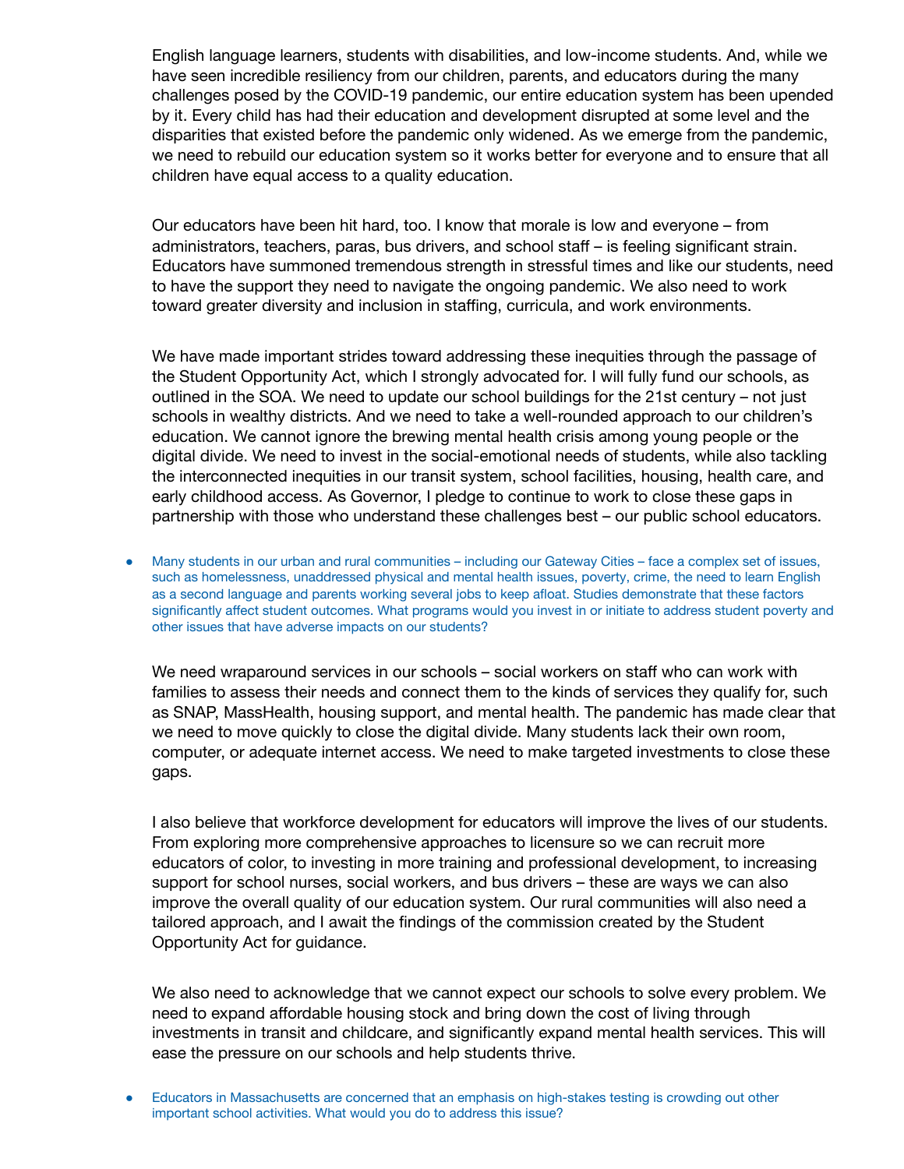English language learners, students with disabilities, and low-income students. And, while we have seen incredible resiliency from our children, parents, and educators during the many challenges posed by the COVID-19 pandemic, our entire education system has been upended by it. Every child has had their education and development disrupted at some level and the disparities that existed before the pandemic only widened. As we emerge from the pandemic, we need to rebuild our education system so it works better for everyone and to ensure that all children have equal access to a quality education.

Our educators have been hit hard, too. I know that morale is low and everyone – from administrators, teachers, paras, bus drivers, and school staff – is feeling significant strain. Educators have summoned tremendous strength in stressful times and like our students, need to have the support they need to navigate the ongoing pandemic. We also need to work toward greater diversity and inclusion in staffing, curricula, and work environments.

We have made important strides toward addressing these inequities through the passage of the Student Opportunity Act, which I strongly advocated for. I will fully fund our schools, as outlined in the SOA. We need to update our school buildings for the 21st century – not just schools in wealthy districts. And we need to take a well-rounded approach to our children's education. We cannot ignore the brewing mental health crisis among young people or the digital divide. We need to invest in the social-emotional needs of students, while also tackling the interconnected inequities in our transit system, school facilities, housing, health care, and early childhood access. As Governor, I pledge to continue to work to close these gaps in partnership with those who understand these challenges best – our public school educators.

Many students in our urban and rural communities – including our Gateway Cities – face a complex set of issues, such as homelessness, unaddressed physical and mental health issues, poverty, crime, the need to learn English as a second language and parents working several jobs to keep afloat. Studies demonstrate that these factors significantly affect student outcomes. What programs would you invest in or initiate to address student poverty and other issues that have adverse impacts on our students?

We need wraparound services in our schools – social workers on staff who can work with families to assess their needs and connect them to the kinds of services they qualify for, such as SNAP, MassHealth, housing support, and mental health. The pandemic has made clear that we need to move quickly to close the digital divide. Many students lack their own room, computer, or adequate internet access. We need to make targeted investments to close these gaps.

I also believe that workforce development for educators will improve the lives of our students. From exploring more comprehensive approaches to licensure so we can recruit more educators of color, to investing in more training and professional development, to increasing support for school nurses, social workers, and bus drivers – these are ways we can also improve the overall quality of our education system. Our rural communities will also need a tailored approach, and I await the findings of the commission created by the Student Opportunity Act for guidance.

We also need to acknowledge that we cannot expect our schools to solve every problem. We need to expand affordable housing stock and bring down the cost of living through investments in transit and childcare, and significantly expand mental health services. This will ease the pressure on our schools and help students thrive.

● Educators in Massachusetts are concerned that an emphasis on high-stakes testing is crowding out other important school activities. What would you do to address this issue?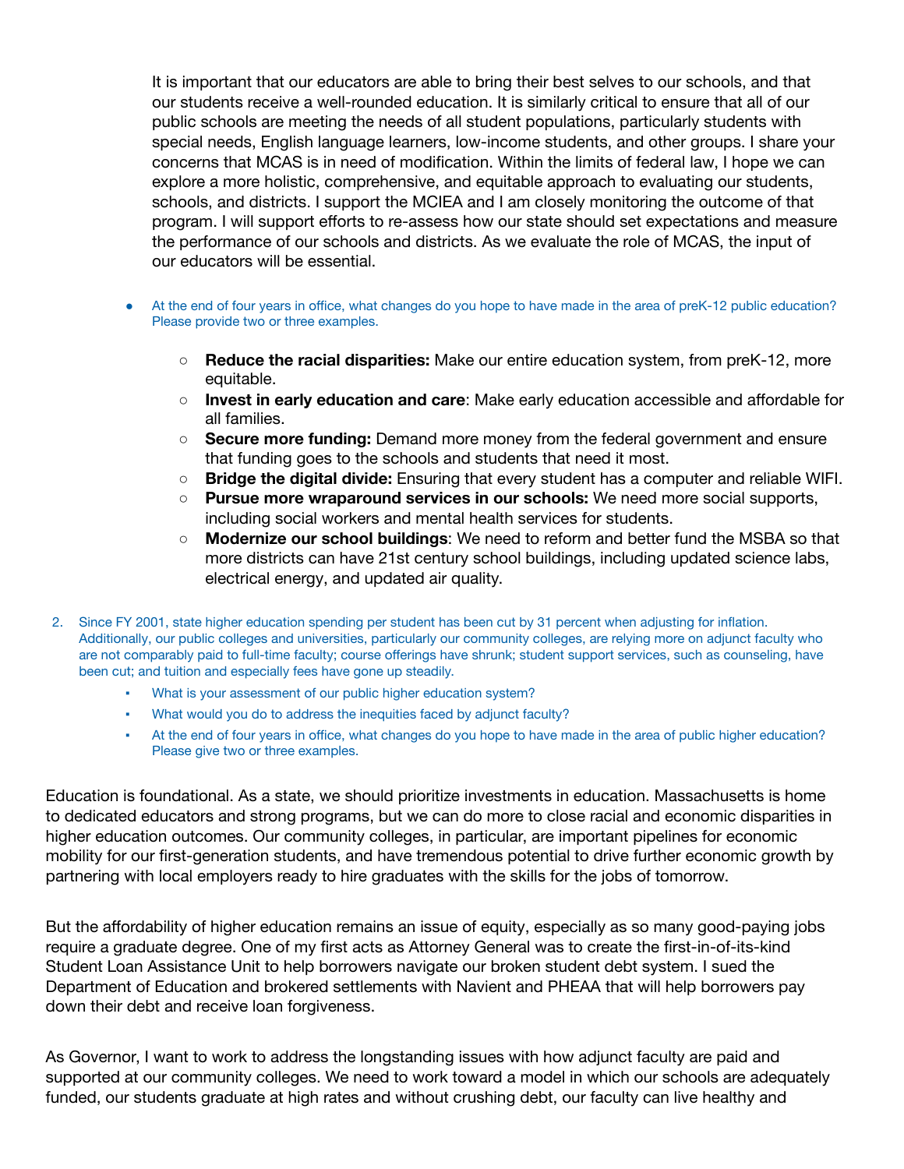It is important that our educators are able to bring their best selves to our schools, and that our students receive a well-rounded education. It is similarly critical to ensure that all of our public schools are meeting the needs of all student populations, particularly students with special needs, English language learners, low-income students, and other groups. I share your concerns that MCAS is in need of modification. Within the limits of federal law, I hope we can explore a more holistic, comprehensive, and equitable approach to evaluating our students, schools, and districts. I support the MCIEA and I am closely monitoring the outcome of that program. I will support efforts to re-assess how our state should set expectations and measure the performance of our schools and districts. As we evaluate the role of MCAS, the input of our educators will be essential.

- At the end of four years in office, what changes do you hope to have made in the area of preK-12 public education? Please provide two or three examples.
	- **Reduce the racial disparities:** Make our entire education system, from preK-12, more equitable.
	- **Invest in early education and care**: Make early education accessible and affordable for all families.
	- **Secure more funding:** Demand more money from the federal government and ensure that funding goes to the schools and students that need it most.
	- **Bridge the digital divide:** Ensuring that every student has a computer and reliable WIFI.
	- **Pursue more wraparound services in our schools:** We need more social supports, including social workers and mental health services for students.
	- **Modernize our school buildings**: We need to reform and better fund the MSBA so that more districts can have 21st century school buildings, including updated science labs, electrical energy, and updated air quality.

2. Since FY 2001, state higher education spending per student has been cut by 31 percent when adjusting for inflation. Additionally, our public colleges and universities, particularly our community colleges, are relying more on adjunct faculty who are not comparably paid to full-time faculty; course offerings have shrunk; student support services, such as counseling, have been cut; and tuition and especially fees have gone up steadily.

- What is your assessment of our public higher education system?
- What would you do to address the inequities faced by adjunct faculty?
- At the end of four years in office, what changes do you hope to have made in the area of public higher education? Please give two or three examples.

Education is foundational. As a state, we should prioritize investments in education. Massachusetts is home to dedicated educators and strong programs, but we can do more to close racial and economic disparities in higher education outcomes. Our community colleges, in particular, are important pipelines for economic mobility for our first-generation students, and have tremendous potential to drive further economic growth by partnering with local employers ready to hire graduates with the skills for the jobs of tomorrow.

But the affordability of higher education remains an issue of equity, especially as so many good-paying jobs require a graduate degree. One of my first acts as Attorney General was to create the first-in-of-its-kind Student Loan Assistance Unit to help borrowers navigate our broken student debt system. I sued the Department of Education and brokered settlements with Navient and PHEAA that will help borrowers pay down their debt and receive loan forgiveness.

As Governor, I want to work to address the longstanding issues with how adjunct faculty are paid and supported at our community colleges. We need to work toward a model in which our schools are adequately funded, our students graduate at high rates and without crushing debt, our faculty can live healthy and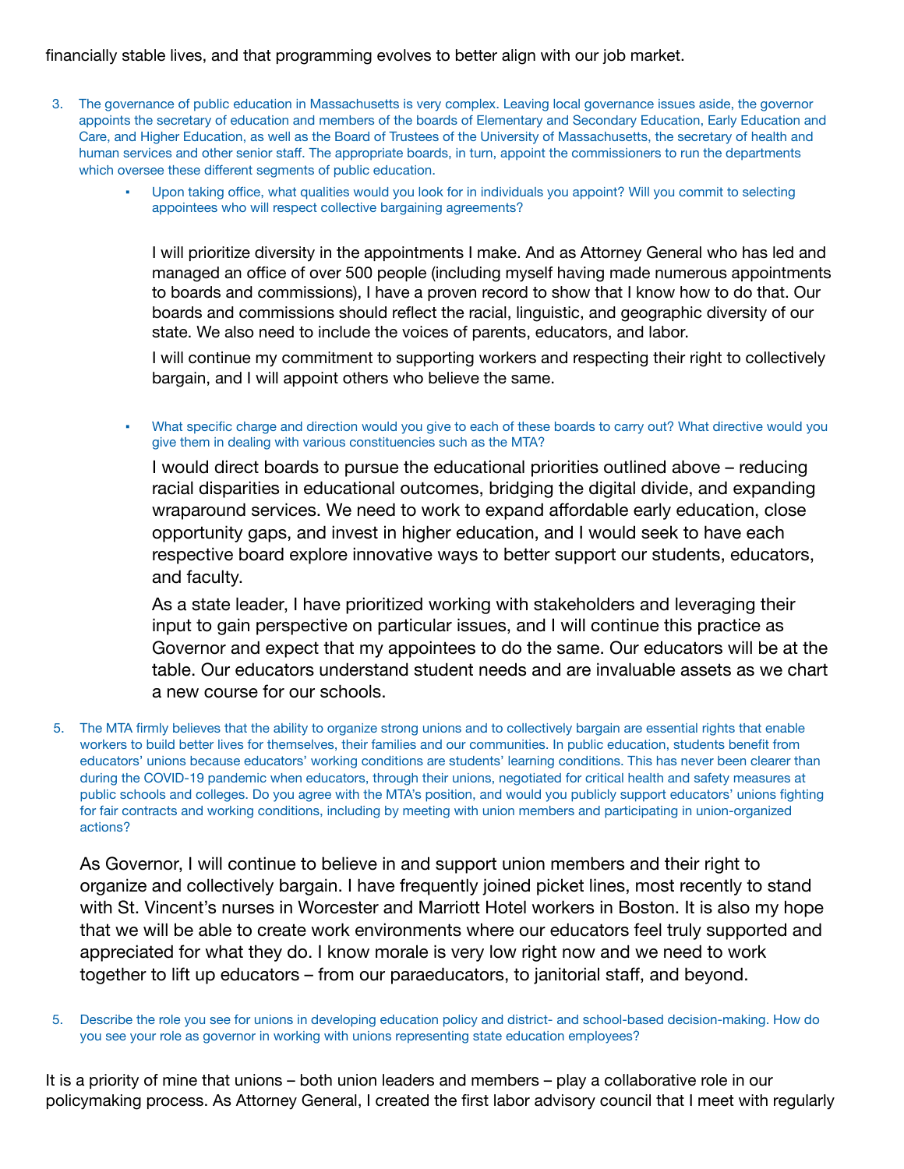### financially stable lives, and that programming evolves to better align with our job market.

- 3. The governance of public education in Massachusetts is very complex. Leaving local governance issues aside, the governor appoints the secretary of education and members of the boards of Elementary and Secondary Education, Early Education and Care, and Higher Education, as well as the Board of Trustees of the University of Massachusetts, the secretary of health and human services and other senior staff. The appropriate boards, in turn, appoint the commissioners to run the departments which oversee these different segments of public education.
	- Upon taking office, what qualities would you look for in individuals you appoint? Will you commit to selecting appointees who will respect collective bargaining agreements?

I will prioritize diversity in the appointments I make. And as Attorney General who has led and managed an office of over 500 people (including myself having made numerous appointments to boards and commissions), I have a proven record to show that I know how to do that. Our boards and commissions should reflect the racial, linguistic, and geographic diversity of our state. We also need to include the voices of parents, educators, and labor.

I will continue my commitment to supporting workers and respecting their right to collectively bargain, and I will appoint others who believe the same.

What specific charge and direction would you give to each of these boards to carry out? What directive would you give them in dealing with various constituencies such as the MTA?

I would direct boards to pursue the educational priorities outlined above – reducing racial disparities in educational outcomes, bridging the digital divide, and expanding wraparound services. We need to work to expand affordable early education, close opportunity gaps, and invest in higher education, and I would seek to have each respective board explore innovative ways to better support our students, educators, and faculty.

As a state leader, I have prioritized working with stakeholders and leveraging their input to gain perspective on particular issues, and I will continue this practice as Governor and expect that my appointees to do the same. Our educators will be at the table. Our educators understand student needs and are invaluable assets as we chart a new course for our schools.

5. The MTA firmly believes that the ability to organize strong unions and to collectively bargain are essential rights that enable workers to build better lives for themselves, their families and our communities. In public education, students benefit from educators' unions because educators' working conditions are students' learning conditions. This has never been clearer than during the COVID-19 pandemic when educators, through their unions, negotiated for critical health and safety measures at public schools and colleges. Do you agree with the MTA's position, and would you publicly support educators' unions fighting for fair contracts and working conditions, including by meeting with union members and participating in union-organized actions?

As Governor, I will continue to believe in and support union members and their right to organize and collectively bargain. I have frequently joined picket lines, most recently to stand with St. Vincent's nurses in Worcester and Marriott Hotel workers in Boston. It is also my hope that we will be able to create work environments where our educators feel truly supported and appreciated for what they do. I know morale is very low right now and we need to work together to lift up educators – from our paraeducators, to janitorial staff, and beyond.

5. Describe the role you see for unions in developing education policy and district- and school-based decision-making. How do you see your role as governor in working with unions representing state education employees?

It is a priority of mine that unions – both union leaders and members – play a collaborative role in our policymaking process. As Attorney General, I created the first labor advisory council that I meet with regularly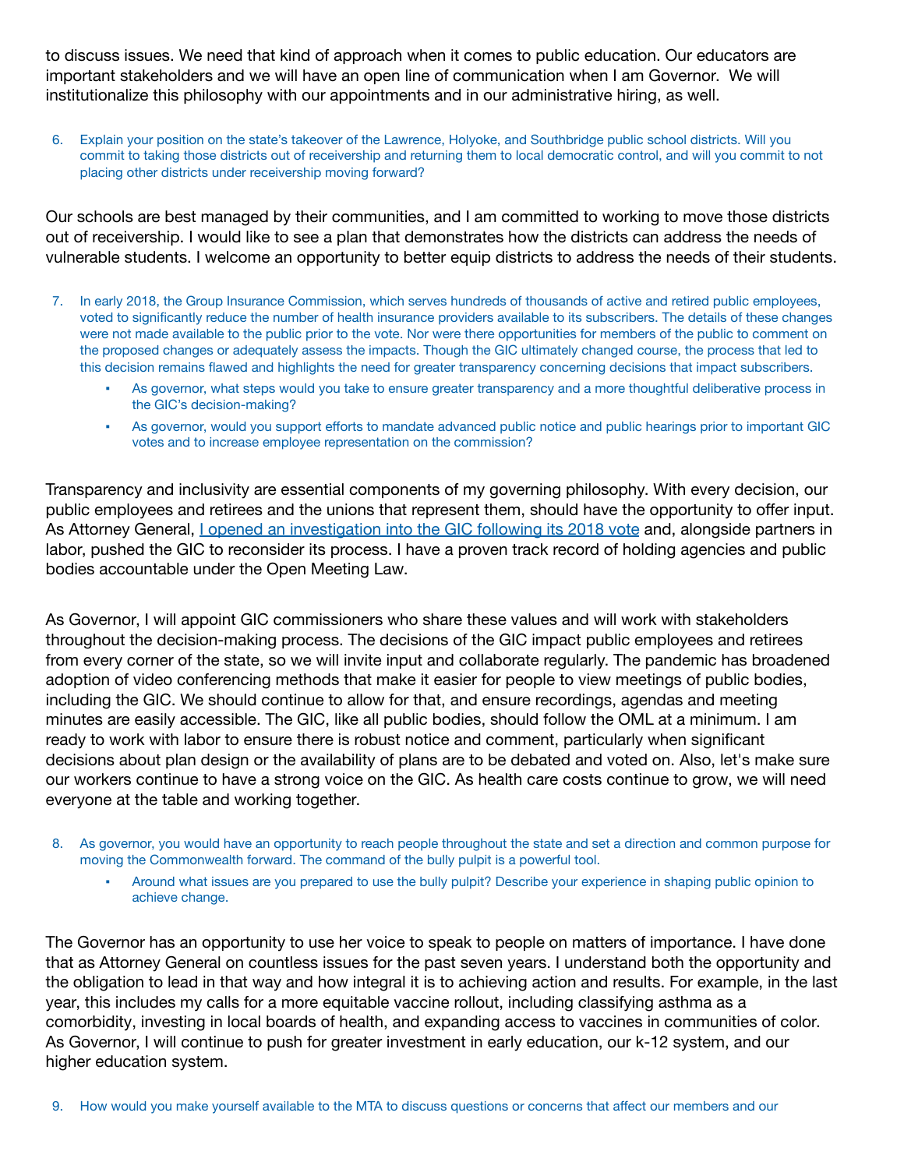to discuss issues. We need that kind of approach when it comes to public education. Our educators are important stakeholders and we will have an open line of communication when I am Governor. We will institutionalize this philosophy with our appointments and in our administrative hiring, as well.

6. Explain your position on the state's takeover of the Lawrence, Holyoke, and Southbridge public school districts. Will you commit to taking those districts out of receivership and returning them to local democratic control, and will you commit to not placing other districts under receivership moving forward?

Our schools are best managed by their communities, and I am committed to working to move those districts out of receivership. I would like to see a plan that demonstrates how the districts can address the needs of vulnerable students. I welcome an opportunity to better equip districts to address the needs of their students.

- 7. In early 2018, the Group Insurance Commission, which serves hundreds of thousands of active and retired public employees, voted to significantly reduce the number of health insurance providers available to its subscribers. The details of these changes were not made available to the public prior to the vote. Nor were there opportunities for members of the public to comment on the proposed changes or adequately assess the impacts. Though the GIC ultimately changed course, the process that led to this decision remains flawed and highlights the need for greater transparency concerning decisions that impact subscribers.
	- As governor, what steps would you take to ensure greater transparency and a more thoughtful deliberative process in the GIC's decision-making?
	- As governor, would you support efforts to mandate advanced public notice and public hearings prior to important GIC votes and to increase employee representation on the commission?

Transparency and inclusivity are essential components of my governing philosophy. With every decision, our public employees and retirees and the unions that represent them, should have the opportunity to offer input. As Attorney General, I opened an [investigation](https://www.bostonglobe.com/business/2018/01/25/healey-investigates-whether-insurance-changes-for-state-workers-violated-meeting-law/2ojqImyr24NDwPFI4JqXnJ/story.html) into the GIC following its 2018 vote and, alongside partners in labor, pushed the GIC to reconsider its process. I have a proven track record of holding agencies and public bodies accountable under the Open Meeting Law.

As Governor, I will appoint GIC commissioners who share these values and will work with stakeholders throughout the decision-making process. The decisions of the GIC impact public employees and retirees from every corner of the state, so we will invite input and collaborate regularly. The pandemic has broadened adoption of video conferencing methods that make it easier for people to view meetings of public bodies, including the GIC. We should continue to allow for that, and ensure recordings, agendas and meeting minutes are easily accessible. The GIC, like all public bodies, should follow the OML at a minimum. I am ready to work with labor to ensure there is robust notice and comment, particularly when significant decisions about plan design or the availability of plans are to be debated and voted on. Also, let's make sure our workers continue to have a strong voice on the GIC. As health care costs continue to grow, we will need everyone at the table and working together.

- 8. As governor, you would have an opportunity to reach people throughout the state and set a direction and common purpose for moving the Commonwealth forward. The command of the bully pulpit is a powerful tool.
	- Around what issues are you prepared to use the bully pulpit? Describe your experience in shaping public opinion to achieve change.

The Governor has an opportunity to use her voice to speak to people on matters of importance. I have done that as Attorney General on countless issues for the past seven years. I understand both the opportunity and the obligation to lead in that way and how integral it is to achieving action and results. For example, in the last year, this includes my calls for a more equitable vaccine rollout, including classifying asthma as a comorbidity, investing in local boards of health, and expanding access to vaccines in communities of color. As Governor, I will continue to push for greater investment in early education, our k-12 system, and our higher education system.